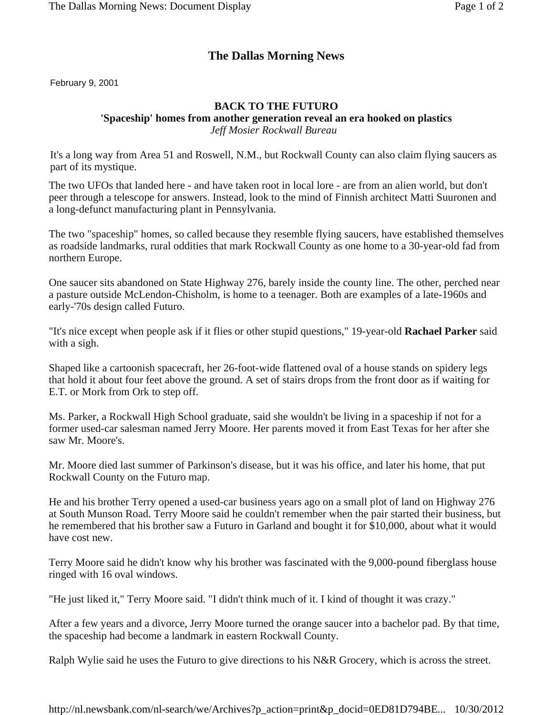## **The Dallas Morning News**

February 9, 2001

## **BACK TO THE FUTURO**

## **'Spaceship' homes from another generation reveal an era hooked on plastics**

*Jeff Mosier Rockwall Bureau* 

It's a long way from Area 51 and Roswell, N.M., but Rockwall County can also claim flying saucers as part of its mystique.

The two UFOs that landed here - and have taken root in local lore - are from an alien world, but don't peer through a telescope for answers. Instead, look to the mind of Finnish architect Matti Suuronen and a long-defunct manufacturing plant in Pennsylvania.

The two "spaceship" homes, so called because they resemble flying saucers, have established themselves as roadside landmarks, rural oddities that mark Rockwall County as one home to a 30-year-old fad from northern Europe.

One saucer sits abandoned on State Highway 276, barely inside the county line. The other, perched near a pasture outside McLendon-Chisholm, is home to a teenager. Both are examples of a late-1960s and early-'70s design called Futuro.

"It's nice except when people ask if it flies or other stupid questions," 19-year-old **Rachael Parker** said with a sigh.

Shaped like a cartoonish spacecraft, her 26-foot-wide flattened oval of a house stands on spidery legs that hold it about four feet above the ground. A set of stairs drops from the front door as if waiting for E.T. or Mork from Ork to step off.

Ms. Parker, a Rockwall High School graduate, said she wouldn't be living in a spaceship if not for a former used-car salesman named Jerry Moore. Her parents moved it from East Texas for her after she saw Mr. Moore's.

Mr. Moore died last summer of Parkinson's disease, but it was his office, and later his home, that put Rockwall County on the Futuro map.

He and his brother Terry opened a used-car business years ago on a small plot of land on Highway 276 at South Munson Road. Terry Moore said he couldn't remember when the pair started their business, but he remembered that his brother saw a Futuro in Garland and bought it for \$10,000, about what it would have cost new.

Terry Moore said he didn't know why his brother was fascinated with the 9,000-pound fiberglass house ringed with 16 oval windows.

"He just liked it," Terry Moore said. "I didn't think much of it. I kind of thought it was crazy."

After a few years and a divorce, Jerry Moore turned the orange saucer into a bachelor pad. By that time, the spaceship had become a landmark in eastern Rockwall County.

Ralph Wylie said he uses the Futuro to give directions to his N&R Grocery, which is across the street.